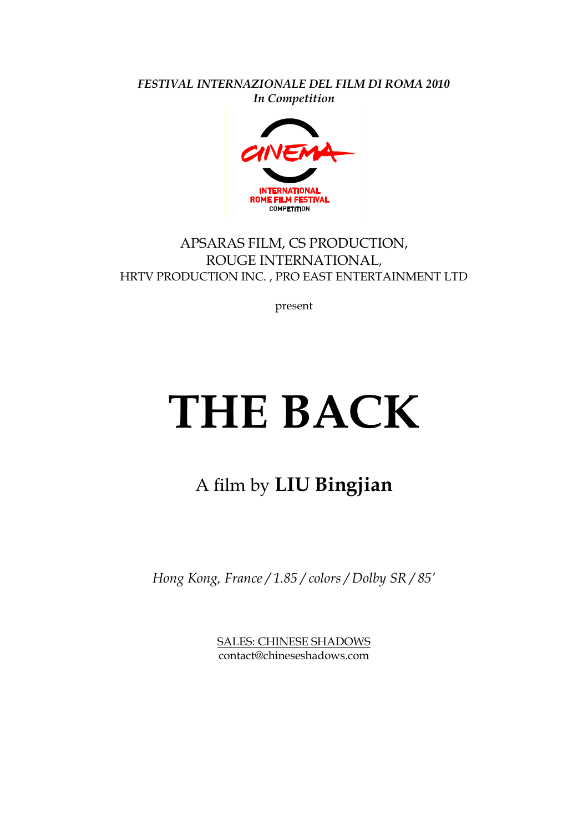*FESTIVAL INTERNAZIONALE DEL FILM DI ROMA 2010 In Competition*



### APSARAS FILM, CS PRODUCTION, ROUGE INTERNATIONAL, HRTV PRODUCTION INC. , PRO EAST ENTERTAINMENT LTD

present

# **THE BACK**

## A film by **LIU Bingjian**

*Hong Kong, France / 1.85 / colors / Dolby SR / 85'*

SALES: CHINESE SHADOWS contact@chineseshadows.com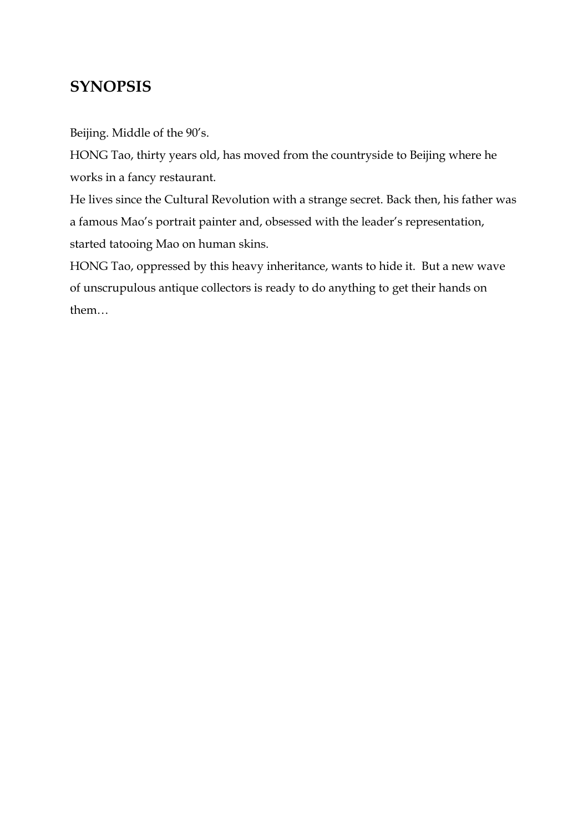## **SYNOPSIS**

Beijing. Middle of the 90's.

HONG Tao, thirty years old, has moved from the countryside to Beijing where he works in a fancy restaurant.

He lives since the Cultural Revolution with a strange secret. Back then, his father was a famous Mao's portrait painter and, obsessed with the leader's representation, started tatooing Mao on human skins.

HONG Tao, oppressed by this heavy inheritance, wants to hide it. But a new wave of unscrupulous antique collectors is ready to do anything to get their hands on them…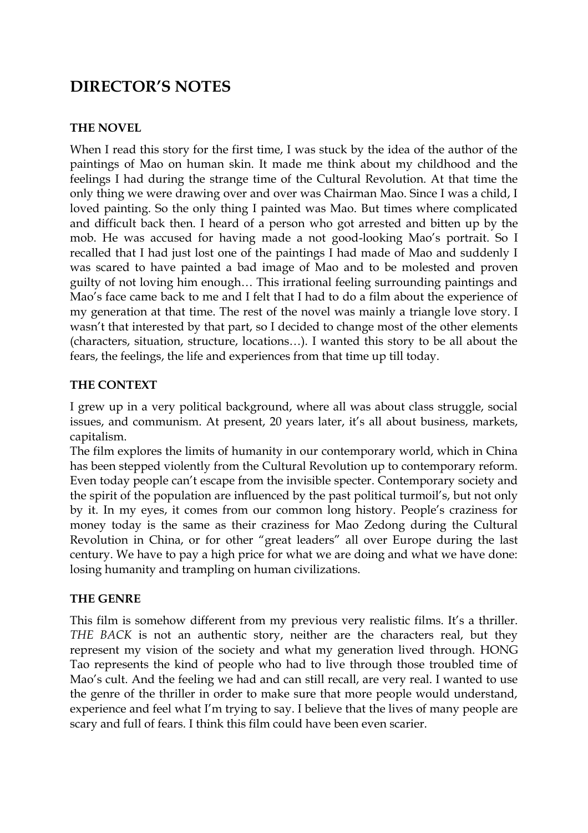## **DIRECTOR'S NOTES**

#### **THE NOVEL**

When I read this story for the first time, I was stuck by the idea of the author of the paintings of Mao on human skin. It made me think about my childhood and the feelings I had during the strange time of the Cultural Revolution. At that time the only thing we were drawing over and over was Chairman Mao. Since I was a child, I loved painting. So the only thing I painted was Mao. But times where complicated and difficult back then. I heard of a person who got arrested and bitten up by the mob. He was accused for having made a not good-looking Mao's portrait. So I recalled that I had just lost one of the paintings I had made of Mao and suddenly I was scared to have painted a bad image of Mao and to be molested and proven guilty of not loving him enough… This irrational feeling surrounding paintings and Mao's face came back to me and I felt that I had to do a film about the experience of my generation at that time. The rest of the novel was mainly a triangle love story. I wasn't that interested by that part, so I decided to change most of the other elements (characters, situation, structure, locations…). I wanted this story to be all about the fears, the feelings, the life and experiences from that time up till today.

#### **THE CONTEXT**

I grew up in a very political background, where all was about class struggle, social issues, and communism. At present, 20 years later, it's all about business, markets, capitalism.

The film explores the limits of humanity in our contemporary world, which in China has been stepped violently from the Cultural Revolution up to contemporary reform. Even today people can't escape from the invisible specter. Contemporary society and the spirit of the population are influenced by the past political turmoil's, but not only by it. In my eyes, it comes from our common long history. People's craziness for money today is the same as their craziness for Mao Zedong during the Cultural Revolution in China, or for other "great leaders" all over Europe during the last century. We have to pay a high price for what we are doing and what we have done: losing humanity and trampling on human civilizations.

#### **THE GENRE**

This film is somehow different from my previous very realistic films. It's a thriller. *THE BACK* is not an authentic story, neither are the characters real, but they represent my vision of the society and what my generation lived through. HONG Tao represents the kind of people who had to live through those troubled time of Mao's cult. And the feeling we had and can still recall, are very real. I wanted to use the genre of the thriller in order to make sure that more people would understand, experience and feel what I'm trying to say. I believe that the lives of many people are scary and full of fears. I think this film could have been even scarier.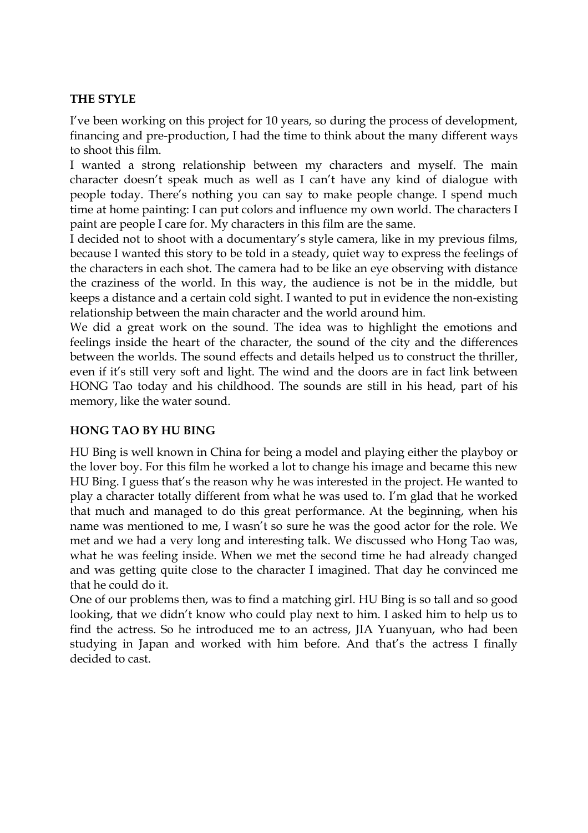#### **THE STYLE**

I've been working on this project for 10 years, so during the process of development, financing and pre-production, I had the time to think about the many different ways to shoot this film.

I wanted a strong relationship between my characters and myself. The main character doesn't speak much as well as I can't have any kind of dialogue with people today. There's nothing you can say to make people change. I spend much time at home painting: I can put colors and influence my own world. The characters I paint are people I care for. My characters in this film are the same.

I decided not to shoot with a documentary's style camera, like in my previous films, because I wanted this story to be told in a steady, quiet way to express the feelings of the characters in each shot. The camera had to be like an eye observing with distance the craziness of the world. In this way, the audience is not be in the middle, but keeps a distance and a certain cold sight. I wanted to put in evidence the non-existing relationship between the main character and the world around him.

We did a great work on the sound. The idea was to highlight the emotions and feelings inside the heart of the character, the sound of the city and the differences between the worlds. The sound effects and details helped us to construct the thriller, even if it's still very soft and light. The wind and the doors are in fact link between HONG Tao today and his childhood. The sounds are still in his head, part of his memory, like the water sound.

#### **HONG TAO BY HU BING**

HU Bing is well known in China for being a model and playing either the playboy or the lover boy. For this film he worked a lot to change his image and became this new HU Bing. I guess that's the reason why he was interested in the project. He wanted to play a character totally different from what he was used to. I'm glad that he worked that much and managed to do this great performance. At the beginning, when his name was mentioned to me, I wasn't so sure he was the good actor for the role. We met and we had a very long and interesting talk. We discussed who Hong Tao was, what he was feeling inside. When we met the second time he had already changed and was getting quite close to the character I imagined. That day he convinced me that he could do it.

One of our problems then, was to find a matching girl. HU Bing is so tall and so good looking, that we didn't know who could play next to him. I asked him to help us to find the actress. So he introduced me to an actress, JIA Yuanyuan, who had been studying in Japan and worked with him before. And that's the actress I finally decided to cast.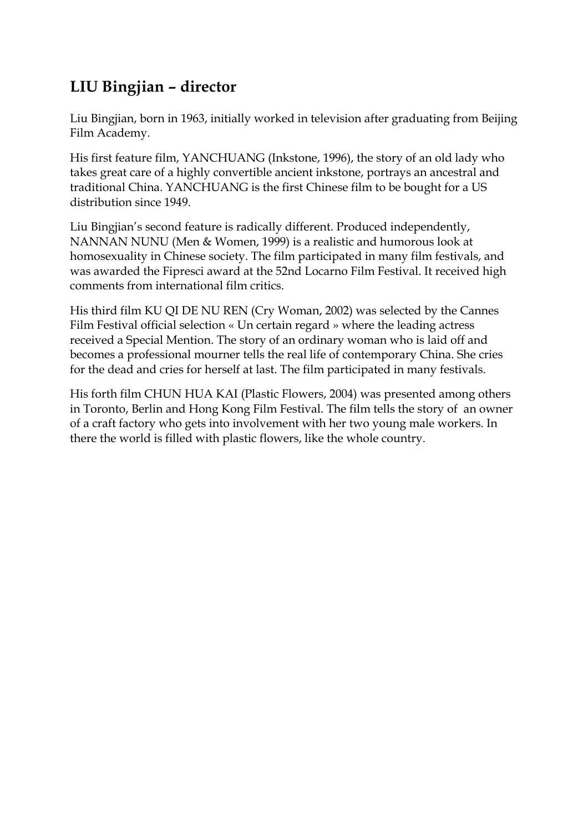## **LIU Bingjian – director**

Liu Bingjian, born in 1963, initially worked in television after graduating from Beijing Film Academy.

His first feature film, YANCHUANG (Inkstone, 1996), the story of an old lady who takes great care of a highly convertible ancient inkstone, portrays an ancestral and traditional China. YANCHUANG is the first Chinese film to be bought for a US distribution since 1949.

Liu Bingjian's second feature is radically different. Produced independently, NANNAN NUNU (Men & Women, 1999) is a realistic and humorous look at homosexuality in Chinese society. The film participated in many film festivals, and was awarded the Fipresci award at the 52nd Locarno Film Festival. It received high comments from international film critics.

His third film KU QI DE NU REN (Cry Woman, 2002) was selected by the Cannes Film Festival official selection « Un certain regard » where the leading actress received a Special Mention. The story of an ordinary woman who is laid off and becomes a professional mourner tells the real life of contemporary China. She cries for the dead and cries for herself at last. The film participated in many festivals.

His forth film CHUN HUA KAI (Plastic Flowers, 2004) was presented among others in Toronto, Berlin and Hong Kong Film Festival. The film tells the story of an owner of a craft factory who gets into involvement with her two young male workers. In there the world is filled with plastic flowers, like the whole country.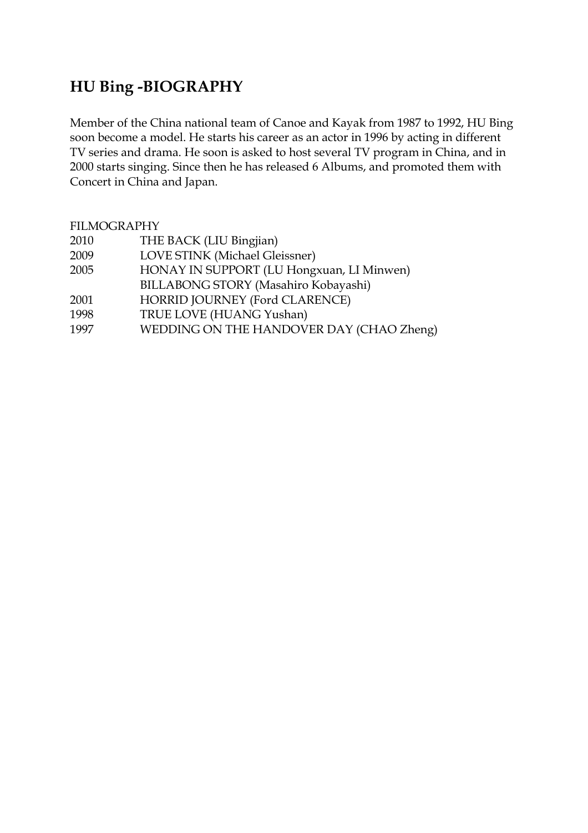## **HU Bing -BIOGRAPHY**

Member of the China national team of Canoe and Kayak from 1987 to 1992, HU Bing soon become a model. He starts his career as an actor in 1996 by acting in different TV series and drama. He soon is asked to host several TV program in China, and in 2000 starts singing. Since then he has released 6 Albums, and promoted them with Concert in China and Japan.

| <b>FILMOGRAPHY</b> |                                           |
|--------------------|-------------------------------------------|
| 2010               | THE BACK (LIU Bingjian)                   |
| 2009               | LOVE STINK (Michael Gleissner)            |
| 2005               | HONAY IN SUPPORT (LU Hongxuan, LI Minwen) |
|                    | BILLABONG STORY (Masahiro Kobayashi)      |
| 2001               | HORRID JOURNEY (Ford CLARENCE)            |
| 1998               | TRUE LOVE (HUANG Yushan)                  |
| 1997               | WEDDING ON THE HANDOVER DAY (CHAO Zheng)  |